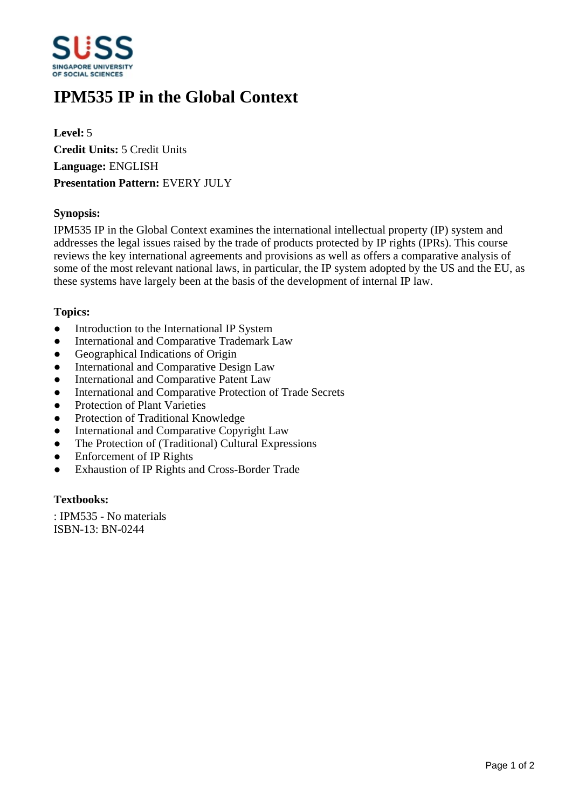

# **IPM535 IP in the Global Context**

**Level:** 5 **Credit Units:** 5 Credit Units **Language:** ENGLISH **Presentation Pattern:** EVERY JULY

### **Synopsis:**

IPM535 IP in the Global Context examines the international intellectual property (IP) system and addresses the legal issues raised by the trade of products protected by IP rights (IPRs). This course reviews the key international agreements and provisions as well as offers a comparative analysis of some of the most relevant national laws, in particular, the IP system adopted by the US and the EU, as these systems have largely been at the basis of the development of internal IP law.

#### **Topics:**

- Introduction to the International IP System
- International and Comparative Trademark Law
- Geographical Indications of Origin
- International and Comparative Design Law
- International and Comparative Patent Law
- $\bullet$  International and Comparative Protection of Trade Secrets
- Protection of Plant Varieties
- Protection of Traditional Knowledge
- International and Comparative Copyright Law
- The Protection of (Traditional) Cultural Expressions
- Enforcement of IP Rights
- Exhaustion of IP Rights and Cross-Border Trade

# **Textbooks:**

: IPM535 - No materials ISBN-13: BN-0244